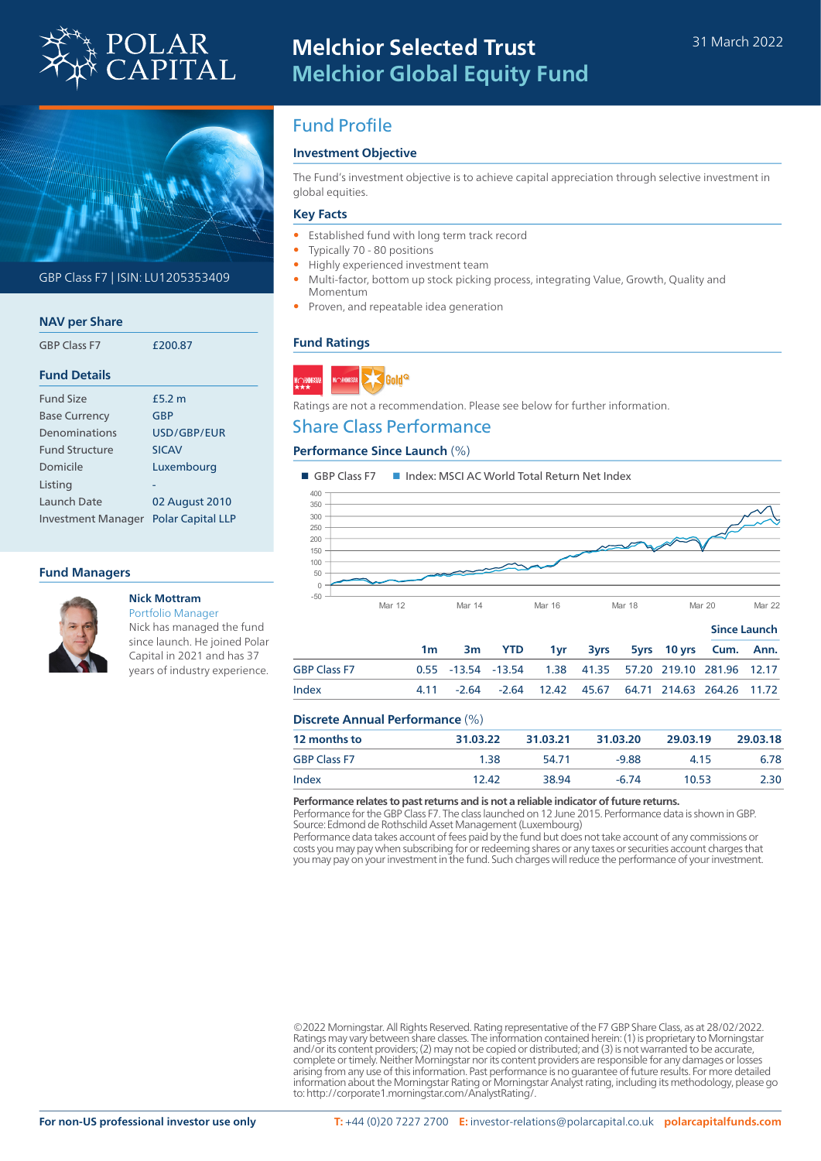



GBP Class F7 | ISIN: LU1205353409

### **NAV per Share**

| <b>GBP Class F7</b>  | £200.87 |  |  |  |  |
|----------------------|---------|--|--|--|--|
| <b>Fund Details</b>  |         |  |  |  |  |
| <b>Fund Size</b>     | f5.2 m  |  |  |  |  |
| <b>Base Currency</b> | GBP     |  |  |  |  |

| <b>Base Currency</b>      | GBP                      |
|---------------------------|--------------------------|
| Denominations             | USD/GBP/FUR              |
| <b>Fund Structure</b>     | <b>SICAV</b>             |
| Domicile                  | Luxembourg               |
| Listing                   |                          |
| Launch Date               | 02 August 2010           |
| <b>Investment Manager</b> | <b>Polar Capital LLP</b> |

### **Fund Managers**



# **Nick Mottram**

Portfolio Manager Nick has managed the fund since launch. He joined Polar Capital in 2021 and has 37 years of industry experience.

# Fund Profile

### **Investment Objective**

The Fund's investment objective is to achieve capital appreciation through selective investment in global equities.

### **Key Facts**

- Established fund with long term track record
- Typically 70 80 positions
- Highly experienced investment team
- Multi-factor, bottom up stock picking process, integrating Value, Growth, Quality and Momentum
- Proven, and repeatable idea generation

### **Fund Ratings**



Ratings are not a recommendation. Please see below for further information.

## Share Class Performance

### **Performance Since Launch** (%)



|                     |                |                                                         |  |  | Since Launch |  |  |
|---------------------|----------------|---------------------------------------------------------|--|--|--------------|--|--|
|                     | 1 <sub>m</sub> | 3m YTD 1yr 3yrs 5yrs 10yrs Cum. Ann.                    |  |  |              |  |  |
| <b>GBP Class F7</b> |                | 0.55 -13.54 -13.54 1.38 41.35 57.20 219.10 281.96 12.17 |  |  |              |  |  |
| Index               |                | 4.11 -2.64 -2.64 12.42 45.67 64.71 214.63 264.26 11.72  |  |  |              |  |  |
|                     |                |                                                         |  |  |              |  |  |

### **Discrete Annual Performance** (%)

| <b>12 months to</b> | 31.03.22 | 31.03.21 | 31.03.20 | 29.03.19 | 29,03,18 |
|---------------------|----------|----------|----------|----------|----------|
| <b>GBP Class F7</b> | 1.38     | 54.71    | $-9.88$  | 4.15     | 6.78     |
| Index               | 12.42    | 38.94    | $-6.74$  | 10.53    | 2.30     |

#### **Performance relates to past returns and is not a reliable indicator of future returns.**

Performance for the GBP Class F7. The class launched on 12 June 2015. Performance data is shown in GBP. Source: Edmond de Rothschild Asset Management (Luxembourg)

Performance data takes account of fees paid by the fund but does not take account of any commissions or costs you may pay when subscribing for or redeeming shares or any taxes or securities account charges that you may pay on your investment in the fund. Such charges will reduce the performance of your investment.

©2022 Morningstar. All Rights Reserved. Rating representative of the F7 GBP Share Class, as at 28/02/2022. Ratings may vary between share classes. The information contained herein: (1) is proprietary to Morningstar<br>and/or its content providers; (2) may not be copied or distributed; and (3) is not warranted to be accurate,<br>compl arising from any use of this information. Past performance is no guarantee of future results. For more detailed information about the Morningstar Rating or Morningstar Analyst rating, including its methodology, please go to: http://corporate1.morningstar.com/AnalystRating/.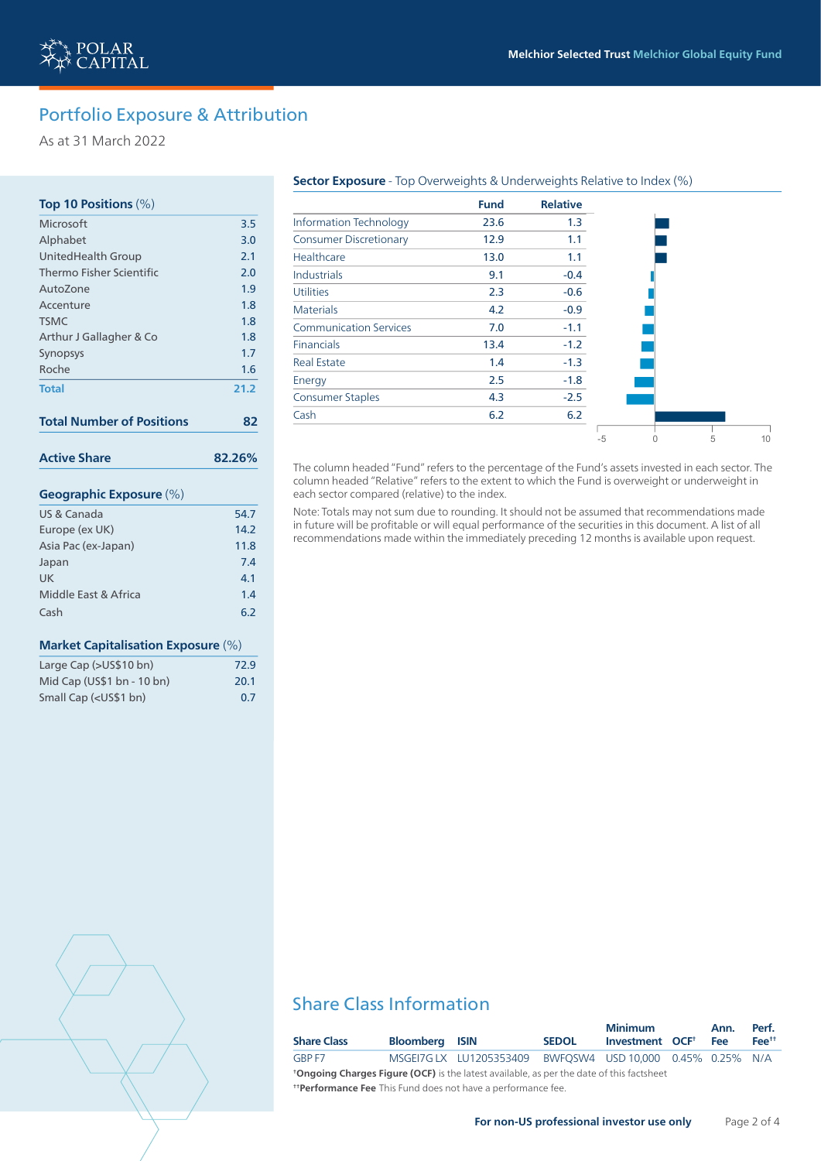

As at 31 March 2022

### **Top 10 Positions** (%)

| Microsoft                        | 3.5    |
|----------------------------------|--------|
| Alphabet                         | 3.0    |
| <b>UnitedHealth Group</b>        | 2.1    |
| Thermo Fisher Scientific         | 2.0    |
| AutoZone                         | 1.9    |
| Accenture                        | 1.8    |
| <b>TSMC</b>                      | 1.8    |
| Arthur J Gallagher & Co          | 1.8    |
| Synopsys                         | 1.7    |
| Roche                            | 1.6    |
| <b>Total</b>                     | 21.2   |
| <b>Total Number of Positions</b> | 82     |
| <b>Active Share</b>              | 82.26% |
| <b>Geographic Exposure (%)</b>   |        |
| US & Canada                      | 54.7   |
| Europe (ex UK)                   | 14.2   |
| Asia Pac (ex-Japan)              | 11.8   |
| Japan                            | 7.4    |
| <b>UK</b>                        | 4.1    |
| Middle East & Africa             | 1.4    |
| Cash                             | 6.2    |

### **Market Capitalisation Exposure** (%)

| Large Cap (>US\$10 bn)                                | 72.9 |
|-------------------------------------------------------|------|
| Mid Cap (US\$1 bn - 10 bn)                            | 20.1 |
| Small Cap ( <us\$1 bn)<="" td=""><td>0.7</td></us\$1> | 0.7  |

#### **Sector Exposure** - Top Overweights & Underweights Relative to Index (%)

|                               | <b>Fund</b> | <b>Relative</b> |      |  |
|-------------------------------|-------------|-----------------|------|--|
| <b>Information Technology</b> | 23.6        | 1.3             |      |  |
| <b>Consumer Discretionary</b> | 12.9        | 1.1             |      |  |
| Healthcare                    | 13.0        | 1.1             |      |  |
| <b>Industrials</b>            | 9.1         | $-0.4$          |      |  |
| <b>Utilities</b>              | 2.3         | $-0.6$          |      |  |
| <b>Materials</b>              | 4.2         | $-0.9$          |      |  |
| <b>Communication Services</b> | 7.0         | $-1.1$          |      |  |
| <b>Financials</b>             | 13.4        | $-1.2$          |      |  |
| <b>Real Estate</b>            | 1.4         | $-1.3$          |      |  |
| Energy                        | 2.5         | $-1.8$          |      |  |
| <b>Consumer Staples</b>       | 4.3         | $-2.5$          |      |  |
| Cash                          | 6.2         | 6.2             |      |  |
|                               |             |                 | $-5$ |  |

The column headed "Fund" refers to the percentage of the Fund's assets invested in each sector. The column headed "Relative" refers to the extent to which the Fund is overweight or underweight in each sector compared (relative) to the index.

Note: Totals may not sum due to rounding. It should not be assumed that recommendations made in future will be profitable or will equal performance of the securities in this document. A list of all recommendations made within the immediately preceding 12 months is available upon request.

# Share Class Information

|                                                                                                 |                       |                            |              | <b>Minimum</b>                     |  | Ann.       | Perf.      |
|-------------------------------------------------------------------------------------------------|-----------------------|----------------------------|--------------|------------------------------------|--|------------|------------|
| <b>Share Class</b>                                                                              | <b>Bloomberg ISIN</b> |                            | <b>SEDOL</b> | Investment OCF <sup>+</sup>        |  | <b>Fee</b> | $Fee^{tt}$ |
| GBP F7                                                                                          |                       | MSGEI7G LX    LU1205353409 |              | BWFOSW4 USD 10.000 0.45% 0.25% N/A |  |            |            |
| <b>*Ongoing Charges Figure (OCF)</b> is the latest available, as per the date of this factsheet |                       |                            |              |                                    |  |            |            |
| <b>Therformance Fee</b> This Fund does not have a performance fee.                              |                       |                            |              |                                    |  |            |            |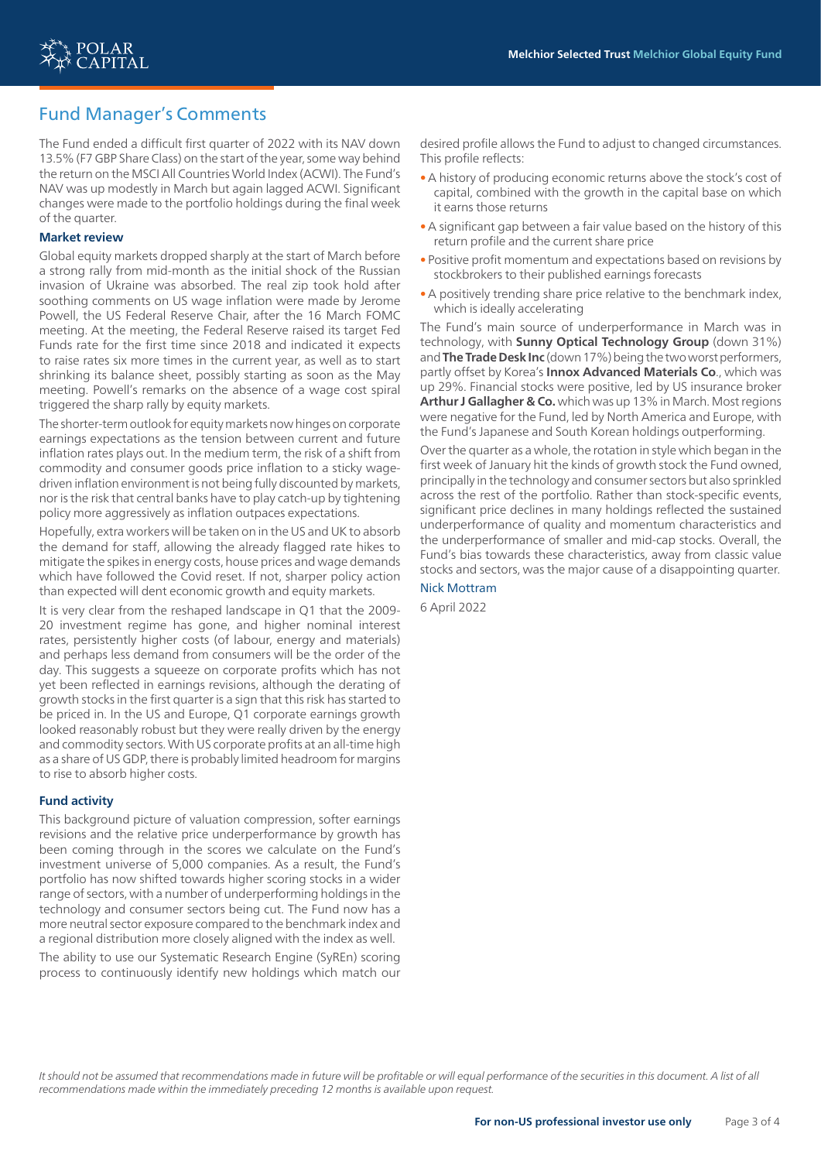

# Fund Manager's Comments

The Fund ended a difficult first quarter of 2022 with its NAV down 13.5% (F7 GBP Share Class) on the start of the year, some way behind the return on the MSCI All Countries World Index (ACWI). The Fund's NAV was up modestly in March but again lagged ACWI. Significant changes were made to the portfolio holdings during the final week of the quarter.

#### **Market review**

Global equity markets dropped sharply at the start of March before a strong rally from mid-month as the initial shock of the Russian invasion of Ukraine was absorbed. The real zip took hold after soothing comments on US wage inflation were made by Jerome Powell, the US Federal Reserve Chair, after the 16 March FOMC meeting. At the meeting, the Federal Reserve raised its target Fed Funds rate for the first time since 2018 and indicated it expects to raise rates six more times in the current year, as well as to start shrinking its balance sheet, possibly starting as soon as the May meeting. Powell's remarks on the absence of a wage cost spiral triggered the sharp rally by equity markets.

The shorter-term outlook for equity markets now hinges on corporate earnings expectations as the tension between current and future inflation rates plays out. In the medium term, the risk of a shift from commodity and consumer goods price inflation to a sticky wagedriven inflation environment is not being fully discounted by markets, nor is the risk that central banks have to play catch-up by tightening policy more aggressively as inflation outpaces expectations.

Hopefully, extra workers will be taken on in the US and UK to absorb the demand for staff, allowing the already flagged rate hikes to mitigate the spikes in energy costs, house prices and wage demands which have followed the Covid reset. If not, sharper policy action than expected will dent economic growth and equity markets.

It is very clear from the reshaped landscape in Q1 that the 2009- 20 investment regime has gone, and higher nominal interest rates, persistently higher costs (of labour, energy and materials) and perhaps less demand from consumers will be the order of the day. This suggests a squeeze on corporate profits which has not yet been reflected in earnings revisions, although the derating of growth stocks in the first quarter is a sign that this risk has started to be priced in. In the US and Europe, Q1 corporate earnings growth looked reasonably robust but they were really driven by the energy and commodity sectors. With US corporate profits at an all-time high as a share of US GDP, there is probably limited headroom for margins to rise to absorb higher costs.

### **Fund activity**

This background picture of valuation compression, softer earnings revisions and the relative price underperformance by growth has been coming through in the scores we calculate on the Fund's investment universe of 5,000 companies. As a result, the Fund's portfolio has now shifted towards higher scoring stocks in a wider range of sectors, with a number of underperforming holdings in the technology and consumer sectors being cut. The Fund now has a more neutral sector exposure compared to the benchmark index and a regional distribution more closely aligned with the index as well.

The ability to use our Systematic Research Engine (SyREn) scoring process to continuously identify new holdings which match our

desired profile allows the Fund to adjust to changed circumstances. This profile reflects:

- •A history of producing economic returns above the stock's cost of capital, combined with the growth in the capital base on which it earns those returns
- •A significant gap between a fair value based on the history of this return profile and the current share price
- Positive profit momentum and expectations based on revisions by stockbrokers to their published earnings forecasts
- •A positively trending share price relative to the benchmark index, which is ideally accelerating

The Fund's main source of underperformance in March was in technology, with **Sunny Optical Technology Group** (down 31%) and **The Trade Desk Inc** (down 17%) being the two worst performers, partly offset by Korea's **Innox Advanced Materials Co**., which was up 29%. Financial stocks were positive, led by US insurance broker **Arthur J Gallagher & Co.** which was up 13% in March. Most regions were negative for the Fund, led by North America and Europe, with the Fund's Japanese and South Korean holdings outperforming.

Over the quarter as a whole, the rotation in style which began in the first week of January hit the kinds of growth stock the Fund owned, principally in the technology and consumer sectors but also sprinkled across the rest of the portfolio. Rather than stock-specific events, significant price declines in many holdings reflected the sustained underperformance of quality and momentum characteristics and the underperformance of smaller and mid-cap stocks. Overall, the Fund's bias towards these characteristics, away from classic value stocks and sectors, was the major cause of a disappointing quarter.

Nick Mottram

6 April 2022

It should not be assumed that recommendations made in future will be profitable or will equal performance of the securities in this document. A list of all *recommendations made within the immediately preceding 12 months is available upon request.*